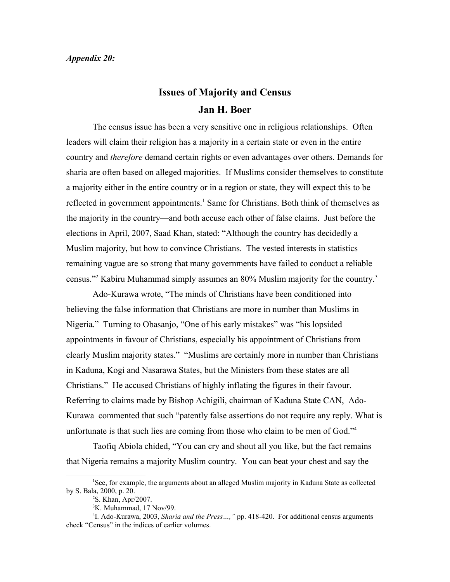## *Appendix 20:*

## **Issues of Majority and Census Jan H. Boer**

The census issue has been a very sensitive one in religious relationships. Often leaders will claim their religion has a majority in a certain state or even in the entire country and *therefore* demand certain rights or even advantages over others. Demands for sharia are often based on alleged majorities. If Muslims consider themselves to constitute a majority either in the entire country or in a region or state, they will expect this to be reflected in government appointments.<sup>[1](#page-0-0)</sup> Same for Christians. Both think of themselves as the majority in the country—and both accuse each other of false claims. Just before the elections in April, 2007, Saad Khan, stated: "Although the country has decidedly a Muslim majority, but how to convince Christians. The vested interests in statistics remaining vague are so strong that many governments have failed to conduct a reliable census."<sup>[2](#page-0-1)</sup> Kabiru Muhammad simply assumes an 80% Muslim majority for the country.<sup>[3](#page-0-2)</sup>

Ado-Kurawa wrote, "The minds of Christians have been conditioned into believing the false information that Christians are more in number than Muslims in Nigeria." Turning to Obasanjo, "One of his early mistakes" was "his lopsided appointments in favour of Christians, especially his appointment of Christians from clearly Muslim majority states." "Muslims are certainly more in number than Christians in Kaduna, Kogi and Nasarawa States, but the Ministers from these states are all Christians." He accused Christians of highly inflating the figures in their favour. Referring to claims made by Bishop Achigili, chairman of Kaduna State CAN, Ado-Kurawa commented that such "patently false assertions do not require any reply. What is unfortunate is that such lies are coming from those who claim to be men of God."<sup>[4](#page-0-3)</sup>

Taofiq Abiola chided, "You can cry and shout all you like, but the fact remains that Nigeria remains a majority Muslim country. You can beat your chest and say the

<sup>1</sup>See, for example, the arguments about an alleged Muslim majority in Kaduna State as collected by S. Bala, 2000, p. 20.

<span id="page-0-1"></span><span id="page-0-0"></span><sup>2</sup>S. Khan, Apr/2007.

<span id="page-0-3"></span><span id="page-0-2"></span> ${}^{3}$ K. Muhammad, 17 Nov/99.

<sup>4</sup> I. Ado-Kurawa, 2003, *Sharia and the Press…,"* pp. 418-420. For additional census arguments check "Census" in the indices of earlier volumes.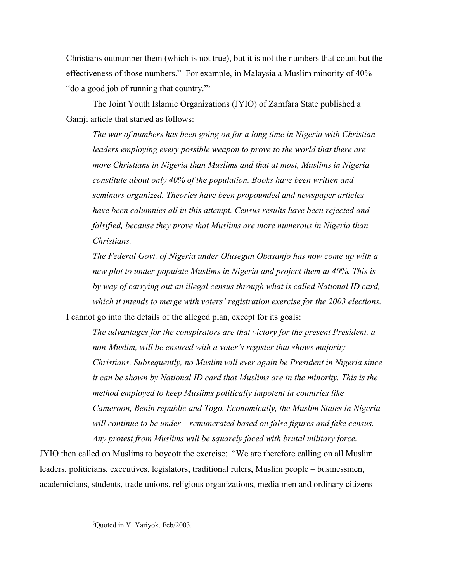Christians outnumber them (which is not true), but it is not the numbers that count but the effectiveness of those numbers." For example, in Malaysia a Muslim minority of 40% "do a good job of running that country."[5](#page-1-0)

The Joint Youth Islamic Organizations (JYIO) of Zamfara State published a Gamji article that started as follows:

*The war of numbers has been going on for a long time in Nigeria with Christian leaders employing every possible weapon to prove to the world that there are more Christians in Nigeria than Muslims and that at most, Muslims in Nigeria constitute about only 40% of the population. Books have been written and seminars organized. Theories have been propounded and newspaper articles have been calumnies all in this attempt. Census results have been rejected and falsified, because they prove that Muslims are more numerous in Nigeria than Christians.*

*The Federal Govt. of Nigeria under Olusegun Obasanjo has now come up with a new plot to under-populate Muslims in Nigeria and project them at 40%. This is by way of carrying out an illegal census through what is called National ID card, which it intends to merge with voters' registration exercise for the 2003 elections.* I cannot go into the details of the alleged plan, except for its goals:

*The advantages for the conspirators are that victory for the present President, a non-Muslim, will be ensured with a voter's register that shows majority Christians. Subsequently, no Muslim will ever again be President in Nigeria since it can be shown by National ID card that Muslims are in the minority. This is the method employed to keep Muslims politically impotent in countries like Cameroon, Benin republic and Togo. Economically, the Muslim States in Nigeria will continue to be under – remunerated based on false figures and fake census. Any protest from Muslims will be squarely faced with brutal military force.*

JYIO then called on Muslims to boycott the exercise: "We are therefore calling on all Muslim leaders, politicians, executives, legislators, traditional rulers, Muslim people – businessmen, academicians, students, trade unions, religious organizations, media men and ordinary citizens

<span id="page-1-0"></span><sup>5</sup>Quoted in Y. Yariyok, Feb/2003.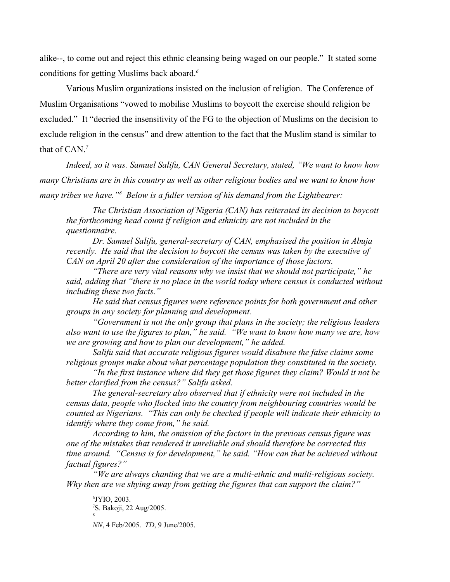alike--, to come out and reject this ethnic cleansing being waged on our people." It stated some conditions for getting Muslims back aboard.*[6](#page-2-0)*

Various Muslim organizations insisted on the inclusion of religion. The Conference of Muslim Organisations "vowed to mobilise Muslims to boycott the exercise should religion be excluded." It "decried the insensitivity of the FG to the objection of Muslims on the decision to exclude religion in the census" and drew attention to the fact that the Muslim stand is similar to that of CAN.*[7](#page-2-1)*

*Indeed, so it was. Samuel Salifu, CAN General Secretary, stated, "We want to know how many Christians are in this country as well as other religious bodies and we want to know how*  many tribes we have.<sup>"[8](#page-2-2)</sup> Below is a fuller version of his demand from the Lightbearer:

*The Christian Association of Nigeria (CAN) has reiterated its decision to boycott the forthcoming head count if religion and ethnicity are not included in the questionnaire.*

*Dr. Samuel Salifu, general-secretary of CAN, emphasised the position in Abuja recently. He said that the decision to boycott the census was taken by the executive of CAN on April 20 after due consideration of the importance of those factors.*

*"There are very vital reasons why we insist that we should not participate," he said, adding that "there is no place in the world today where census is conducted without including these two facts."*

*He said that census figures were reference points for both government and other groups in any society for planning and development.*

*"Government is not the only group that plans in the society; the religious leaders also want to use the figures to plan," he said. "We want to know how many we are, how we are growing and how to plan our development," he added.*

*Salifu said that accurate religious figures would disabuse the false claims some religious groups make about what percentage population they constituted in the society.*

*"In the first instance where did they get those figures they claim? Would it not be better clarified from the census?" Salifu asked.*

*The general-secretary also observed that if ethnicity were not included in the census data, people who flocked into the country from neighbouring countries would be counted as Nigerians. "This can only be checked if people will indicate their ethnicity to identify where they come from," he said.*

*According to him, the omission of the factors in the previous census figure was one of the mistakes that rendered it unreliable and should therefore be corrected this time around. "Census is for development," he said. "How can that be achieved without factual figures?"*

*"We are always chanting that we are a multi-ethnic and multi-religious society. Why then are we shying away from getting the figures that can support the claim?"*

<span id="page-2-2"></span>8

<span id="page-2-1"></span><span id="page-2-0"></span><sup>6</sup> JYIO, 2003. <sup>7</sup>S. Bakoji, 22 Aug/2005.

*NN*, 4 Feb/2005. *TD*, 9 June/2005.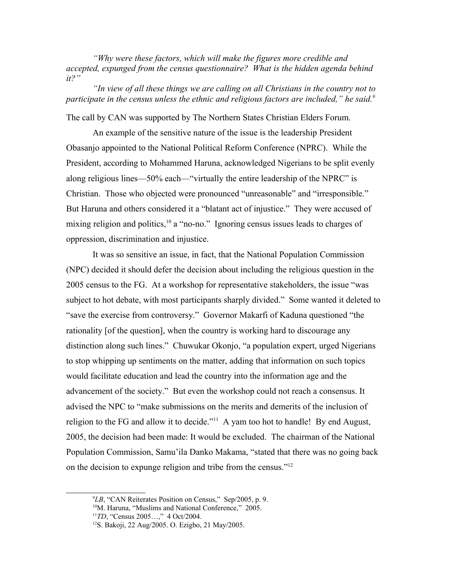*"Why were these factors, which will make the figures more credible and accepted, expunged from the census questionnaire? What is the hidden agenda behind it?"*

*"In view of all these things we are calling on all Christians in the country not to participate in the census unless the ethnic and religious factors are included," he said.[9](#page-3-0)*

The call by CAN was supported by The Northern States Christian Elders Forum.

An example of the sensitive nature of the issue is the leadership President Obasanjo appointed to the National Political Reform Conference (NPRC). While the President, according to Mohammed Haruna, acknowledged Nigerians to be split evenly along religious lines—50% each—"virtually the entire leadership of the NPRC" is Christian. Those who objected were pronounced "unreasonable" and "irresponsible." But Haruna and others considered it a "blatant act of injustice." They were accused of mixing religion and politics,  $10$  a "no-no." Ignoring census issues leads to charges of oppression, discrimination and injustice.

It was so sensitive an issue, in fact, that the National Population Commission (NPC) decided it should defer the decision about including the religious question in the 2005 census to the FG. At a workshop for representative stakeholders, the issue "was subject to hot debate, with most participants sharply divided." Some wanted it deleted to "save the exercise from controversy." Governor Makarfi of Kaduna questioned "the rationality [of the question], when the country is working hard to discourage any distinction along such lines." Chuwukar Okonjo, "a population expert, urged Nigerians to stop whipping up sentiments on the matter, adding that information on such topics would facilitate education and lead the country into the information age and the advancement of the society." But even the workshop could not reach a consensus. It advised the NPC to "make submissions on the merits and demerits of the inclusion of religion to the FG and allow it to decide."<sup>[11](#page-3-2)</sup> A yam too hot to handle! By end August, 2005, the decision had been made: It would be excluded. The chairman of the National Population Commission, Samu'ila Danko Makama, "stated that there was no going back on the decision to expunge religion and tribe from the census."[12](#page-3-3)

<span id="page-3-0"></span><sup>9</sup>*LB*, "CAN Reiterates Position on Census," Sep/2005, p. 9.

<span id="page-3-1"></span><sup>&</sup>lt;sup>10</sup>M. Haruna, "Muslims and National Conference," 2005.

<span id="page-3-2"></span><sup>11</sup>*TD*, "Census 2005…," 4 Oct/2004.

<span id="page-3-3"></span><sup>12</sup>S. Bakoji, 22 Aug/2005. O. Ezigbo, 21 May/2005.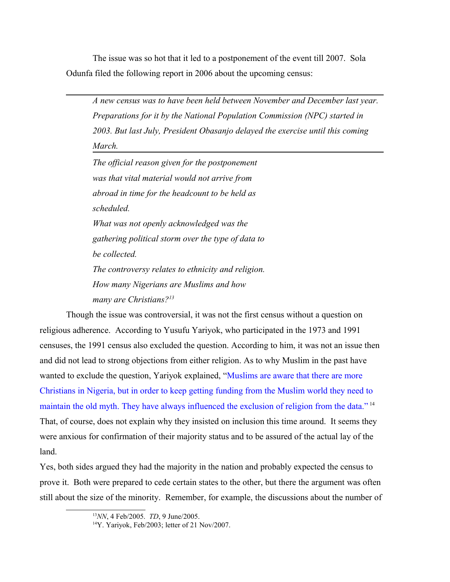The issue was so hot that it led to a postponement of the event till 2007. Sola Odunfa filed the following report in 2006 about the upcoming census:

*A new census was to have been held between November and December last year. Preparations for it by the National Population Commission (NPC) started in 2003. But last July, President Obasanjo delayed the exercise until this coming March.*

*The official reason given for the postponement was that vital material would not arrive from abroad in time for the headcount to be held as scheduled. What was not openly acknowledged was the gathering political storm over the type of data to be collected. The controversy relates to ethnicity and religion. How many Nigerians are Muslims and how many are Christians?[13](#page-4-0)*

Though the issue was controversial, it was not the first census without a question on religious adherence. According to Yusufu Yariyok, who participated in the 1973 and 1991 censuses, the 1991 census also excluded the question. According to him, it was not an issue then and did not lead to strong objections from either religion. As to why Muslim in the past have wanted to exclude the question, Yariyok explained, "Muslims are aware that there are more Christians in Nigeria, but in order to keep getting funding from the Muslim world they need to maintain the old myth. They have always influenced the exclusion of religion from the data."<sup>[14](#page-4-1)</sup> That, of course, does not explain why they insisted on inclusion this time around. It seems they were anxious for confirmation of their majority status and to be assured of the actual lay of the land.

Yes, both sides argued they had the majority in the nation and probably expected the census to prove it. Both were prepared to cede certain states to the other, but there the argument was often still about the size of the minority. Remember, for example, the discussions about the number of

<span id="page-4-0"></span><sup>13</sup>*NN*, 4 Feb/2005. *TD*, 9 June/2005.

<span id="page-4-1"></span><sup>&</sup>lt;sup>14</sup>Y. Yariyok, Feb/2003; letter of 21 Nov/2007.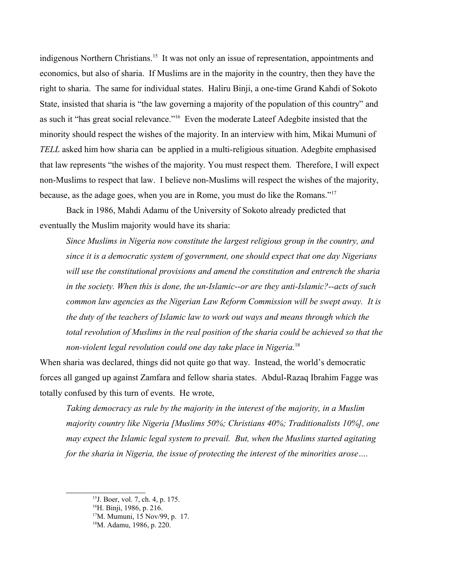indigenous Northern Christians.<sup>[15](#page-5-0)</sup> It was not only an issue of representation, appointments and economics, but also of sharia. If Muslims are in the majority in the country, then they have the right to sharia. The same for individual states. Haliru Binji, a one-time Grand Kahdi of Sokoto State, insisted that sharia is "the law governing a majority of the population of this country" and as such it "has great social relevance."[16](#page-5-1) Even the moderate Lateef Adegbite insisted that the minority should respect the wishes of the majority. In an interview with him, Mikai Mumuni of *TELL* asked him how sharia can be applied in a multi-religious situation. Adegbite emphasised that law represents "the wishes of the majority. You must respect them. Therefore, I will expect non-Muslims to respect that law. I believe non-Muslims will respect the wishes of the majority, because, as the adage goes, when you are in Rome, you must do like the Romans."[17](#page-5-2)

Back in 1986, Mahdi Adamu of the University of Sokoto already predicted that eventually the Muslim majority would have its sharia:

*Since Muslims in Nigeria now constitute the largest religious group in the country, and since it is a democratic system of government, one should expect that one day Nigerians will use the constitutional provisions and amend the constitution and entrench the sharia in the society. When this is done, the un-Islamic--or are they anti-Islamic?--acts of such common law agencies as the Nigerian Law Reform Commission will be swept away. It is the duty of the teachers of Islamic law to work out ways and means through which the total revolution of Muslims in the real position of the sharia could be achieved so that the non-violent legal revolution could one day take place in Nigeria.*[18](#page-5-3) 

When sharia was declared, things did not quite go that way. Instead, the world's democratic forces all ganged up against Zamfara and fellow sharia states. Abdul-Razaq Ibrahim Fagge was totally confused by this turn of events. He wrote,

*Taking democracy as rule by the majority in the interest of the majority, in a Muslim majority country like Nigeria [Muslims 50%; Christians 40%; Traditionalists 10%], one may expect the Islamic legal system to prevail. But, when the Muslims started agitating for the sharia in Nigeria, the issue of protecting the interest of the minorities arose….* 

<span id="page-5-0"></span><sup>15</sup>J. Boer, vol. 7, ch. 4, p. 175.

<span id="page-5-1"></span> $^{16}$ H. Binji, 1986, p. 216.

<span id="page-5-2"></span><sup>17</sup>M. Mumuni, 15 Nov/99, p. 17.

<span id="page-5-3"></span><sup>18</sup>M. Adamu, 1986, p. 220.